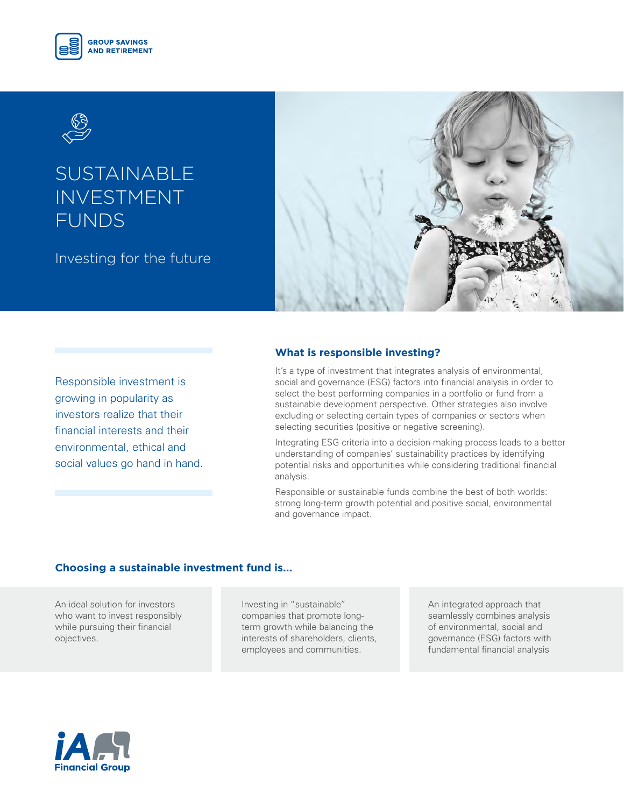



# **SUSTAINABLE** INVESTMENT FUNDS

Investing for the future



Responsible investment is growing in popularity as investors realize that their financial interests and their environmental, ethical and social values go hand in hand.

# **What is responsible investing?**

It's a type of investment that integrates analysis of environmental, social and governance (ESG) factors into financial analysis in order to select the best performing companies in a portfolio or fund from a sustainable development perspective. Other strategies also involve excluding or selecting certain types of companies or sectors when selecting securities (positive or negative screening).

Integrating ESG criteria into a decision-making process leads to a better understanding of companies' sustainability practices by identifying potential risks and opportunities while considering traditional financial analysis.

Responsible or sustainable funds combine the best of both worlds: strong long-term growth potential and positive social, environmental and governance impact.

## **Choosing a sustainable investment fund is...**

An ideal solution for investors who want to invest responsibly while pursuing their financial objectives.

Investing in "sustainable" companies that promote longterm growth while balancing the interests of shareholders, clients, employees and communities.

An integrated approach that seamlessly combines analysis of environmental, social and governance (ESG) factors with fundamental financial analysis

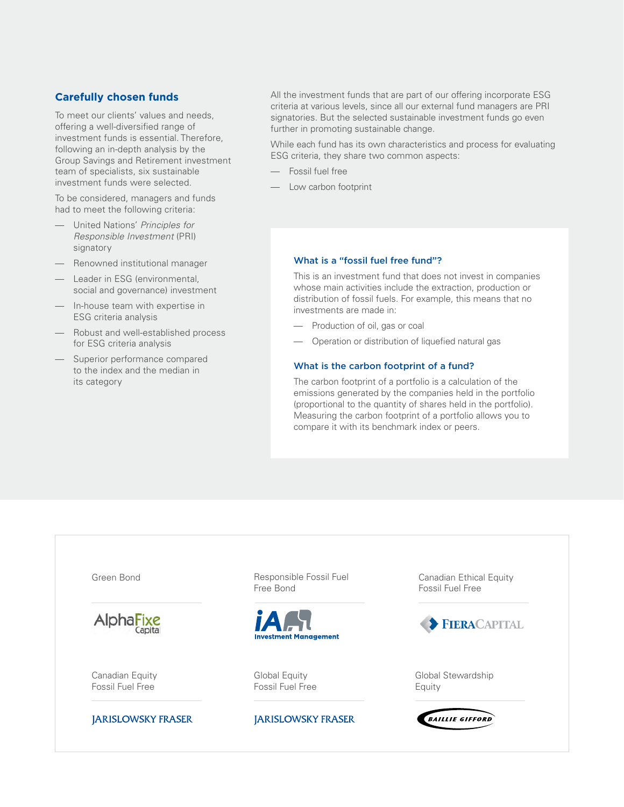# **Carefully chosen funds**

To meet our clients' values and needs, offering a well-diversified range of investment funds is essential. Therefore, following an in-depth analysis by the Group Savings and Retirement investment team of specialists, six sustainable investment funds were selected.

To be considered, managers and funds had to meet the following criteria:

- United Nations' *Principles for Responsible Investment* (PRI) signatory
- Renowned institutional manager
- Leader in ESG (environmental, social and governance) investment
- In-house team with expertise in ESG criteria analysis
- Robust and well-established process for ESG criteria analysis
- Superior performance compared to the index and the median in its category

All the investment funds that are part of our offering incorporate ESG criteria at various levels, since all our external fund managers are PRI signatories. But the selected sustainable investment funds go even further in promoting sustainable change.

While each fund has its own characteristics and process for evaluating ESG criteria, they share two common aspects:

- Fossil fuel free
- Low carbon footprint

#### What is a "fossil fuel free fund"?

This is an investment fund that does not invest in companies whose main activities include the extraction, production or distribution of fossil fuels. For example, this means that no investments are made in:

- Production of oil, gas or coal
- Operation or distribution of liquefied natural gas

#### What is the carbon footprint of a fund?

The carbon footprint of a portfolio is a calculation of the emissions generated by the companies held in the portfolio (proportional to the quantity of shares held in the portfolio). Measuring the carbon footprint of a portfolio allows you to compare it with its benchmark index or peers.

Green Bond Responsible Fossil Fuel Canadian Ethical Equity Free Bond Fossil Fuel Free AlphaFixe FIERACAPITAL **Investment Management** Canadian Equity Global Equity Global Stewardship Fossil Fuel FreeFossil Fuel Free Equity **JARISLOWSKY FRASER JARISLOWSKY FRASER BAILLIE GIFFORD**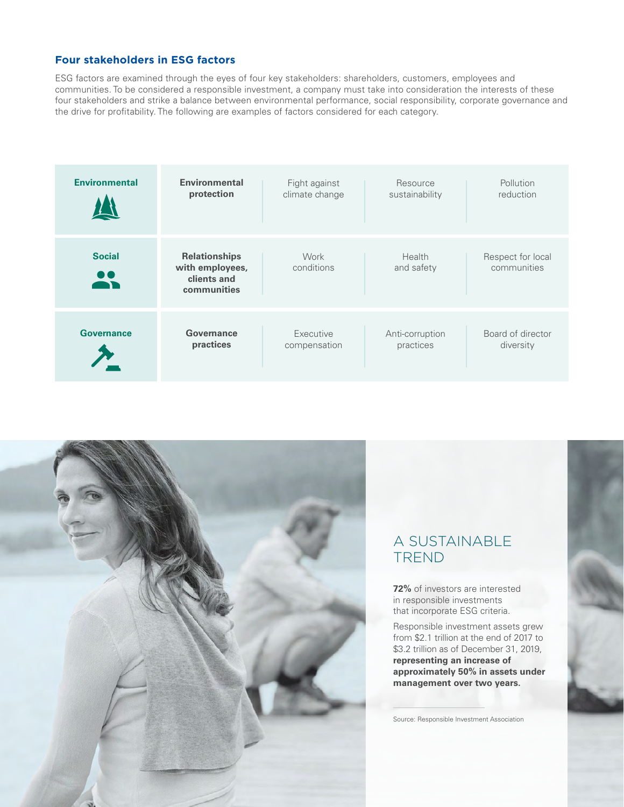# **Four stakeholders in ESG factors**

ESG factors are examined through the eyes of four key stakeholders: shareholders, customers, employees and communities. To be considered a responsible investment, a company must take into consideration the interests of these four stakeholders and strike a balance between environmental performance, social responsibility, corporate governance and the drive for profitability. The following are examples of factors considered for each category.

| <b>Environmental</b> | <b>Environmental</b>                                                  | Fight against      | Resource             | Pollution                        |
|----------------------|-----------------------------------------------------------------------|--------------------|----------------------|----------------------------------|
|                      | protection                                                            | climate change     | sustainability       | reduction                        |
| <b>Social</b>        | <b>Relationships</b><br>with employees,<br>clients and<br>communities | Work<br>conditions | Health<br>and safety | Respect for local<br>communities |
| <b>Governance</b>    | Governance                                                            | Executive          | Anti-corruption      | Board of director                |
|                      | practices                                                             | compensation       | practices            | diversity                        |



# A SUSTAINABLE TREND

**72%** of investors are interested in responsible investments that incorporate ESG criteria.

Responsible investment assets grew from \$2.1 trillion at the end of 2017 to \$3.2 trillion as of December 31, 2019, **representing an increase of approximately 50% in assets under management over two years.**

Source: Responsible Investment Association